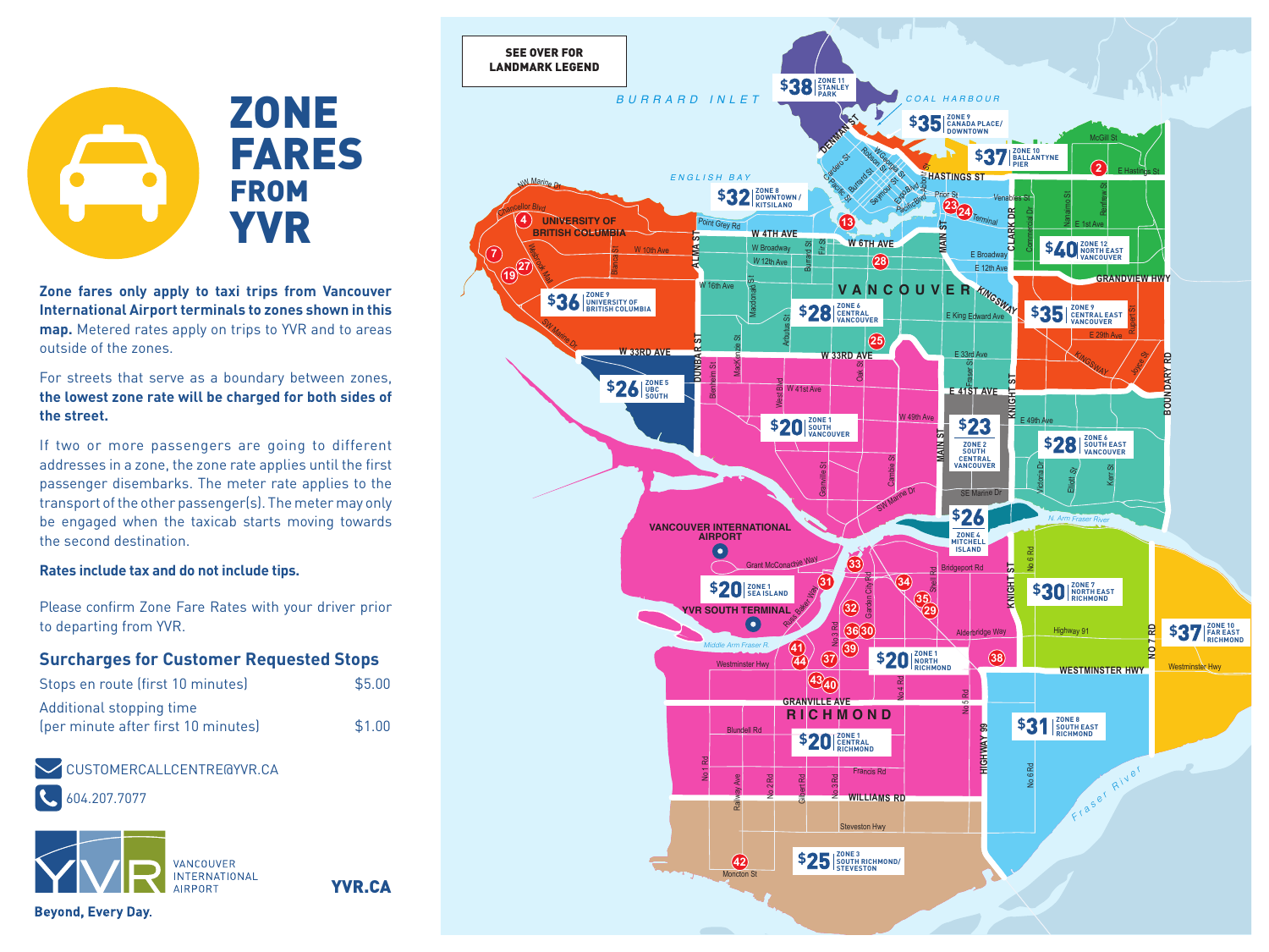# **ZONE** FARES FROM YVR

**Zone fares only apply to taxi trips from Vancouver International Airport terminals to zones shown in this map.** Metered rates apply on trips to YVR and to areas outside of the zones.

For streets that serve as a boundary between zones, **the lowest zone rate will be charged for both sides of the street.**

If two or more passengers are going to different addresses in a zone, the zone rate applies until the first passenger disembarks. The meter rate applies to the transport of the other passenger(s). The meter may only be engaged when the taxicab starts moving towards the second destination.

#### **Rates include tax and do not include tips.**

Please confirm Zone Fare Rates with your driver prior to departing from YVR.

#### **Surcharges for Customer Requested Stops**

| Stops en route (first 10 minutes)   | \$5.00 |
|-------------------------------------|--------|
| Additional stopping time            |        |
| (per minute after first 10 minutes) | \$1.00 |

YVR.CA

### CUSTOMERCALLCENTRE@YVR.CA

604.207.7077



SEE OVER FOR LANDMARK LEGEND**ZONE 11 STANLEY PARK \$38** *BURRARD INLET COAL HARBOUR* **ZONE 9 CANADA PLACE/ DOWNTOWN \$35 DENMAN ST** Robson Ga W Georgia **ZONE 10 BALLANTYNE PIER \$37** Cataro St **Abbott** S **2** Burrard St *ENGLISH BAY* E Hastings St **HASTINGS ST** W Marine **Pacific St** Seymour St Expo<sub>Blvd</sub> Renfrew St **ZONE 8 DOWNTOWN / KITSILANO \$32** Prior St <sup>V</sup>enable<sup>s</sup> <sup>S</sup><sup>t</sup> Nanaimo St **PacificBlvd 2324** <sup>C</sup>hancello<sup>r</sup> <sup>B</sup>lv<sup>d</sup> **CLARK DR** Commercial Dr **4 13** Terminal Poin<sup>t</sup> <sup>G</sup><sup>r</sup>e<sup>y</sup> <sup>R</sup><sup>d</sup> **UNIVERSITY OF BRITISH COLUMBIA** E 1st Ave **W 4TH AVE ALMA ST MAIN ST W 6TH AVE** WERE THAVE FRIEND FRIENDS AND SURVEY SURVEY TO UNIT SURVEY TO UNIT SURVEY TO UNIT SURVEY TO UNIT SURVEY TO UNIT SURVEY TO UNIT SURVEY TO UNIT SURVEY TO UNIT SURVEY TO UNIT SURVEY TO UNIT SURVEY TO UNIT SURVEY TO UNIT SURVE **ZONE 12 NORTH EAST VANCOUVER \$40** Burrard St **7** ⋦ W Broadway Blanca St W 10th Ave E Broadwa 19 27 Este W 12th Ave **<sup>27</sup> <sup>28</sup>** E 12th Ave **GRANDVIEW HWY** Macdonald St Sth Ave **VANCOUVER**<br>EXPERIES **ZONE 9 UNIVERSITY OF BRITISH COLUMBIA \$36 S28 EXPLOSED ZONE 6 CENTRAL ZONE 9 CENTRAL EAST VANCOUVER \$35** Rupert St E King Edward Av<sup>e</sup> Arbutus St <sup>S</sup><sup>W</sup> <sup>M</sup>arin<sup>e</sup> <sup>D</sup><sup>r</sup> **25** E 29th Ave **DUNBAR ST** MacKenzie St **W 33RD AVE W 33RD AVE**  $E$  33rd Joyce St. **BOUNDARY RD** *ត*<br>E 41ST AVE Oak St Blenheim St **E** AND SOUTH TERMINAL **K**<br>
SOUTH TERMINAL CONFILMED AND SURFAINTENT AND SUPERINTENT AND SUPERINTENT AND SUPERINTENT AND SUPERINTENT AND SUPERINTENT AND SUPERINTENT AND SUPERINTENT AND SUPERINTENT AND SUPERINTENT AND SUPER **\$26**  $\frac{20}{300}$ M<br>Maria W 41st Ave<br>S W 49th Ave **\$23 ZONE 1 SOUTH VANCOUVER \$20** E 49th Ave **MANIST ZONE 6 SOUTH EAST VANCOUVER \$28 ZONE 2 SOUTH CENTRAL VANCOUVER** Cambie St Victoria Dr Granville St Kerr St Elliott Sy SW Marine Dr **SE** Marine D **\$26** *N. Arm Fraser River* **VANCOUVER INTERNATIONAL AIRPORT ZONE 4 MITCHELL ISLAND** No 6 Rd **33** Grant McConachie Way Bridgeport Rd Shell Rd Garden City Rd **34 D**<br>IL Someone Way **ZONE 1 \$20 SEA ISLAND ZONE 7 NORTH EAST RICHMOND \$30 35 29 32** No 3 Rd **36 30 ZONE 10 FAR EAST RICHMOND \$37** Highway 91 **NO 7 RD** Alderbridge Way **39** *Middle Arm Fraser R.* **41 37 38 ZONE 1 NORTH RICHMOND \$20 44** Westminster Hwy Westminster Hwy **WESTMINSTER HWY 43 40** No 4 Rd **GRANVILLE AVE**  $\mathsf{P}\mathsf{S}$ **RICHMOND**  $$31$  SOUTH EAST HIGHWAY 99 Blundell Rd **HIGHWAY 99**  $$20$ <sup>ECENTRAL</sup> *<sup>F</sup> <sup>r</sup> <sup>a</sup> <sup>s</sup> <sup>e</sup> <sup>r</sup> <sup>R</sup> <sup>i</sup> <sup>v</sup> <sup>e</sup> <sup>r</sup>* No 1 Rd No 6 Rd **Francis Rd** Railway Ave No 2 Rd Gilbert Rd No 3 Rd **WILLIAMS RD** Steveston Hwy **ZONE 3 SOUTH RICHMOND/ STEVESTON \$25 42** Moncton St